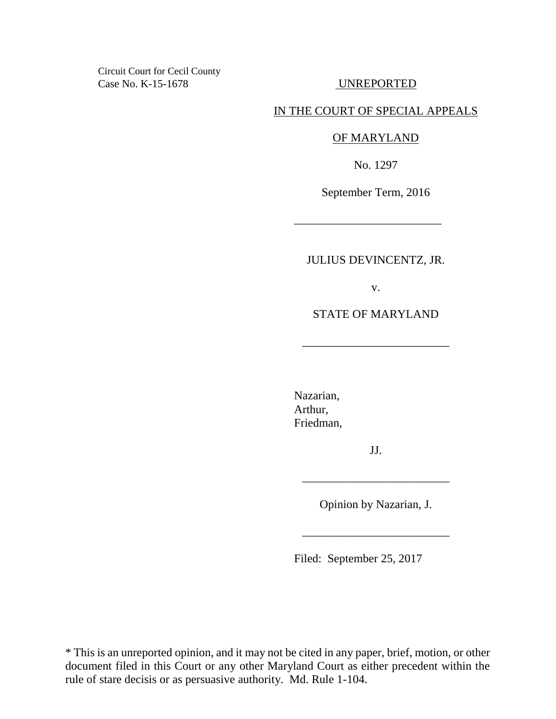Circuit Court for Cecil County Case No. K-15-1678 UNREPORTED

# IN THE COURT OF SPECIAL APPEALS

### OF MARYLAND

No. 1297

September Term, 2016

\_\_\_\_\_\_\_\_\_\_\_\_\_\_\_\_\_\_\_\_\_\_\_\_\_

JULIUS DEVINCENTZ, JR.

v.

STATE OF MARYLAND

\_\_\_\_\_\_\_\_\_\_\_\_\_\_\_\_\_\_\_\_\_\_\_\_\_

Nazarian, Arthur, Friedman,

JJ.

Opinion by Nazarian, J.

\_\_\_\_\_\_\_\_\_\_\_\_\_\_\_\_\_\_\_\_\_\_\_\_\_

\_\_\_\_\_\_\_\_\_\_\_\_\_\_\_\_\_\_\_\_\_\_\_\_\_

Filed: September 25, 2017

\* This is an unreported opinion, and it may not be cited in any paper, brief, motion, or other document filed in this Court or any other Maryland Court as either precedent within the rule of stare decisis or as persuasive authority. Md. Rule 1-104.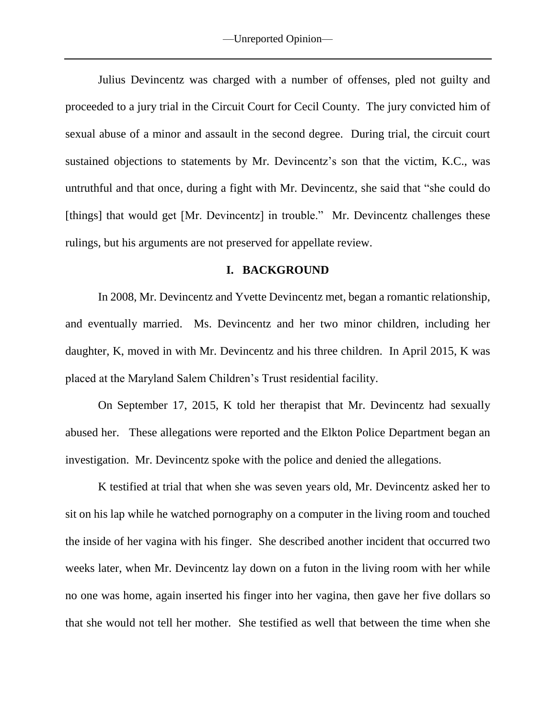Julius Devincentz was charged with a number of offenses, pled not guilty and proceeded to a jury trial in the Circuit Court for Cecil County. The jury convicted him of sexual abuse of a minor and assault in the second degree. During trial, the circuit court sustained objections to statements by Mr. Devincentz's son that the victim, K.C., was untruthful and that once, during a fight with Mr. Devincentz, she said that "she could do [things] that would get [Mr. Devincentz] in trouble." Mr. Devincentz challenges these rulings, but his arguments are not preserved for appellate review.

### **I. BACKGROUND**

In 2008, Mr. Devincentz and Yvette Devincentz met, began a romantic relationship, and eventually married. Ms. Devincentz and her two minor children, including her daughter, K, moved in with Mr. Devincentz and his three children. In April 2015, K was placed at the Maryland Salem Children's Trust residential facility.

On September 17, 2015, K told her therapist that Mr. Devincentz had sexually abused her. These allegations were reported and the Elkton Police Department began an investigation. Mr. Devincentz spoke with the police and denied the allegations.

K testified at trial that when she was seven years old, Mr. Devincentz asked her to sit on his lap while he watched pornography on a computer in the living room and touched the inside of her vagina with his finger. She described another incident that occurred two weeks later, when Mr. Devincentz lay down on a futon in the living room with her while no one was home, again inserted his finger into her vagina, then gave her five dollars so that she would not tell her mother. She testified as well that between the time when she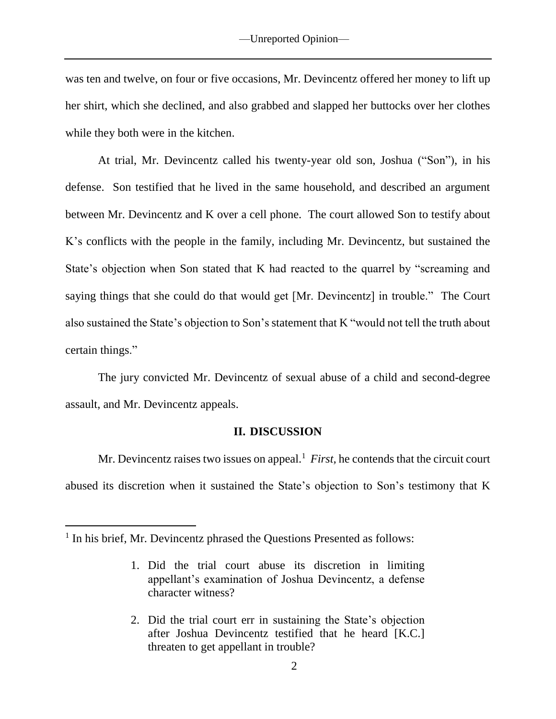was ten and twelve, on four or five occasions, Mr. Devincentz offered her money to lift up her shirt, which she declined, and also grabbed and slapped her buttocks over her clothes while they both were in the kitchen.

At trial, Mr. Devincentz called his twenty-year old son, Joshua ("Son"), in his defense. Son testified that he lived in the same household, and described an argument between Mr. Devincentz and K over a cell phone. The court allowed Son to testify about K's conflicts with the people in the family, including Mr. Devincentz, but sustained the State's objection when Son stated that K had reacted to the quarrel by "screaming and saying things that she could do that would get [Mr. Devincentz] in trouble." The Court also sustained the State's objection to Son's statement that K "would not tell the truth about certain things."

The jury convicted Mr. Devincentz of sexual abuse of a child and second-degree assault, and Mr. Devincentz appeals.

#### **II. DISCUSSION**

Mr. Devincentz raises two issues on appeal.<sup>1</sup> *First*, he contends that the circuit court abused its discretion when it sustained the State's objection to Son's testimony that K

 $\overline{a}$ 

2. Did the trial court err in sustaining the State's objection after Joshua Devincentz testified that he heard [K.C.] threaten to get appellant in trouble?

<sup>&</sup>lt;sup>1</sup> In his brief, Mr. Devincentz phrased the Questions Presented as follows:

<sup>1.</sup> Did the trial court abuse its discretion in limiting appellant's examination of Joshua Devincentz, a defense character witness?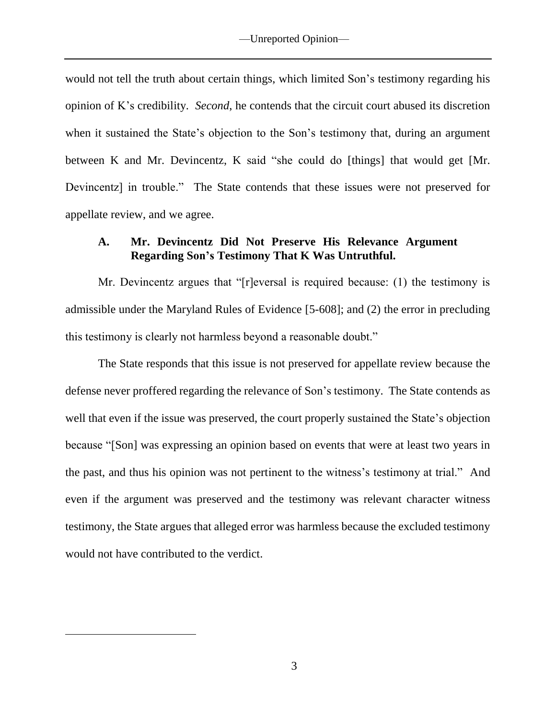would not tell the truth about certain things, which limited Son's testimony regarding his opinion of K's credibility. *Second*, he contends that the circuit court abused its discretion when it sustained the State's objection to the Son's testimony that, during an argument between K and Mr. Devincentz, K said "she could do [things] that would get [Mr. Devincentz] in trouble." The State contends that these issues were not preserved for appellate review, and we agree.

## **A. Mr. Devincentz Did Not Preserve His Relevance Argument Regarding Son's Testimony That K Was Untruthful.**

Mr. Devincentz argues that "[r]eversal is required because: (1) the testimony is admissible under the Maryland Rules of Evidence [5-608]; and (2) the error in precluding this testimony is clearly not harmless beyond a reasonable doubt."

The State responds that this issue is not preserved for appellate review because the defense never proffered regarding the relevance of Son's testimony. The State contends as well that even if the issue was preserved, the court properly sustained the State's objection because "[Son] was expressing an opinion based on events that were at least two years in the past, and thus his opinion was not pertinent to the witness's testimony at trial." And even if the argument was preserved and the testimony was relevant character witness testimony, the State argues that alleged error was harmless because the excluded testimony would not have contributed to the verdict.

 $\overline{a}$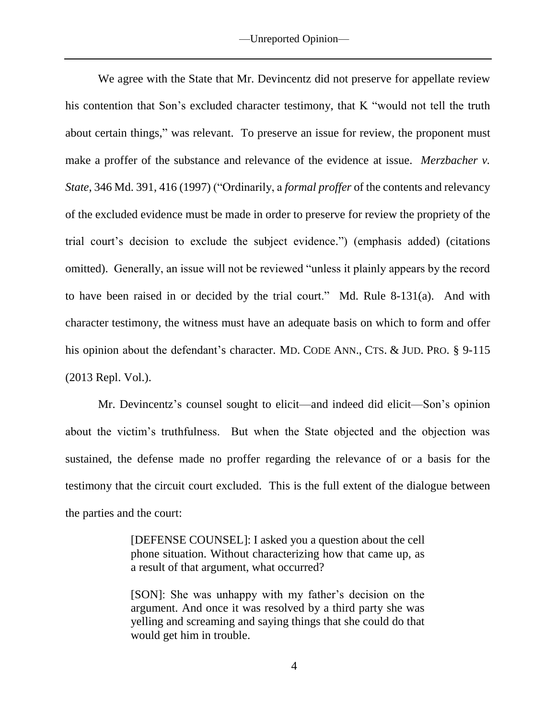We agree with the State that Mr. Devincentz did not preserve for appellate review his contention that Son's excluded character testimony, that K "would not tell the truth about certain things," was relevant. To preserve an issue for review, the proponent must make a proffer of the substance and relevance of the evidence at issue. *Merzbacher v. State*, 346 Md. 391, 416 (1997) ("Ordinarily, a *formal proffer* of the contents and relevancy of the excluded evidence must be made in order to preserve for review the propriety of the trial court's decision to exclude the subject evidence.") (emphasis added) (citations omitted). Generally, an issue will not be reviewed "unless it plainly appears by the record to have been raised in or decided by the trial court." Md. Rule 8-131(a). And with character testimony, the witness must have an adequate basis on which to form and offer his opinion about the defendant's character. MD. CODE ANN., CTS. & JUD. PRO. § 9-115 (2013 Repl. Vol.).

Mr. Devincentz's counsel sought to elicit—and indeed did elicit—Son's opinion about the victim's truthfulness. But when the State objected and the objection was sustained, the defense made no proffer regarding the relevance of or a basis for the testimony that the circuit court excluded. This is the full extent of the dialogue between the parties and the court:

> [DEFENSE COUNSEL]: I asked you a question about the cell phone situation. Without characterizing how that came up, as a result of that argument, what occurred?

> [SON]: She was unhappy with my father's decision on the argument. And once it was resolved by a third party she was yelling and screaming and saying things that she could do that would get him in trouble.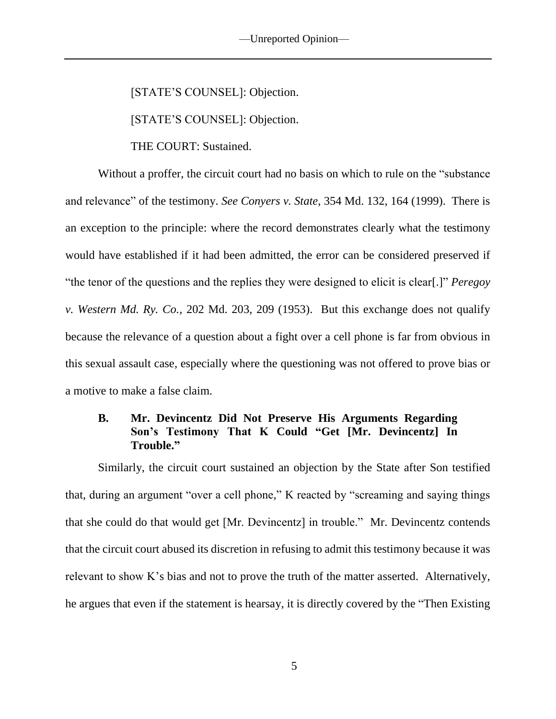[STATE'S COUNSEL]: Objection.

[STATE'S COUNSEL]: Objection.

THE COURT: Sustained.

Without a proffer, the circuit court had no basis on which to rule on the "substance and relevance" of the testimony. *See Conyers v. State*, 354 Md. 132, 164 (1999). There is an exception to the principle: where the record demonstrates clearly what the testimony would have established if it had been admitted, the error can be considered preserved if "the tenor of the questions and the replies they were designed to elicit is clear[.]" *Peregoy v. Western Md. Ry. Co.*, 202 Md. 203, 209 (1953). But this exchange does not qualify because the relevance of a question about a fight over a cell phone is far from obvious in this sexual assault case, especially where the questioning was not offered to prove bias or a motive to make a false claim.

# **B. Mr. Devincentz Did Not Preserve His Arguments Regarding Son's Testimony That K Could "Get [Mr. Devincentz] In Trouble."**

Similarly, the circuit court sustained an objection by the State after Son testified that, during an argument "over a cell phone," K reacted by "screaming and saying things that she could do that would get [Mr. Devincentz] in trouble." Mr. Devincentz contends that the circuit court abused its discretion in refusing to admit this testimony because it was relevant to show K's bias and not to prove the truth of the matter asserted. Alternatively, he argues that even if the statement is hearsay, it is directly covered by the "Then Existing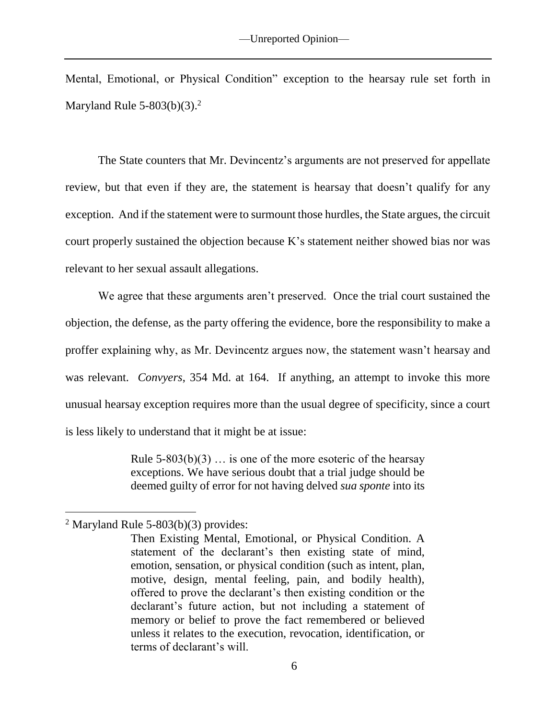Mental, Emotional, or Physical Condition" exception to the hearsay rule set forth in Maryland Rule  $5-803(b)(3).<sup>2</sup>$ 

The State counters that Mr. Devincentz's arguments are not preserved for appellate review, but that even if they are, the statement is hearsay that doesn't qualify for any exception. And if the statement were to surmount those hurdles, the State argues, the circuit court properly sustained the objection because K's statement neither showed bias nor was relevant to her sexual assault allegations.

We agree that these arguments aren't preserved. Once the trial court sustained the objection, the defense, as the party offering the evidence, bore the responsibility to make a proffer explaining why, as Mr. Devincentz argues now, the statement wasn't hearsay and was relevant. *Convyers*, 354 Md. at 164. If anything, an attempt to invoke this more unusual hearsay exception requires more than the usual degree of specificity, since a court is less likely to understand that it might be at issue:

> Rule  $5-803(b)(3)$  ... is one of the more esoteric of the hearsay exceptions. We have serious doubt that a trial judge should be deemed guilty of error for not having delved *sua sponte* into its

 $\overline{a}$ 

<sup>&</sup>lt;sup>2</sup> Maryland Rule 5-803(b)(3) provides:

Then Existing Mental, Emotional, or Physical Condition. A statement of the declarant's then existing state of mind, emotion, sensation, or physical condition (such as intent, plan, motive, design, mental feeling, pain, and bodily health), offered to prove the declarant's then existing condition or the declarant's future action, but not including a statement of memory or belief to prove the fact remembered or believed unless it relates to the execution, revocation, identification, or terms of declarant's will.